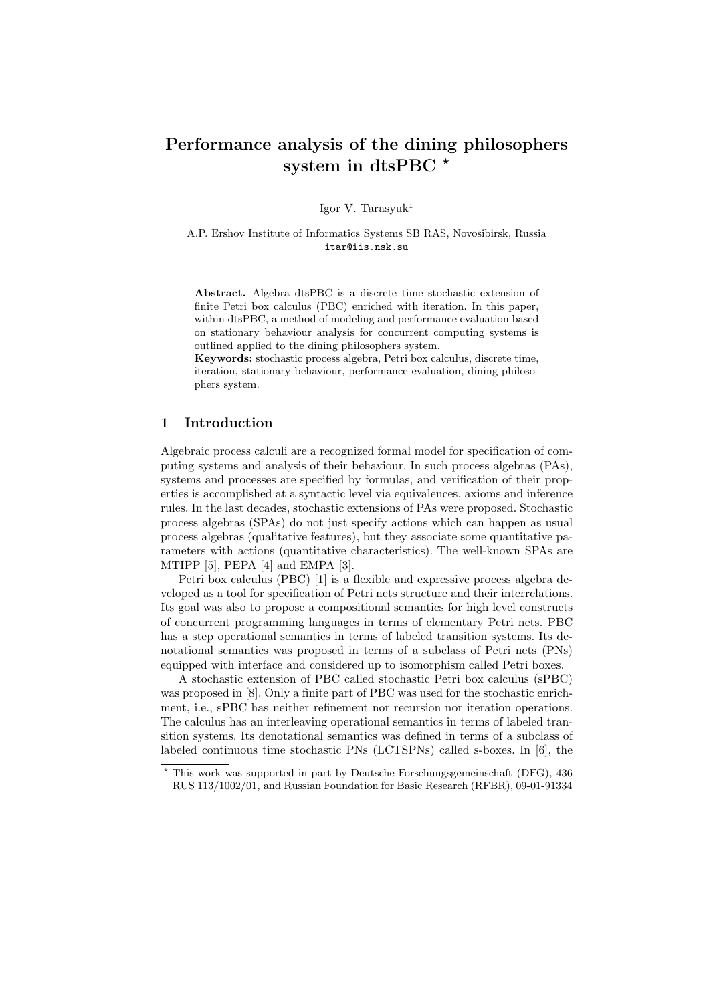# Performance analysis of the dining philosophers system in dtsPBC  $*$

Igor V. Tarasyuk $1$ 

A.P. Ershov Institute of Informatics Systems SB RAS, Novosibirsk, Russia itar@iis.nsk.su

Abstract. Algebra dtsPBC is a discrete time stochastic extension of finite Petri box calculus (PBC) enriched with iteration. In this paper, within dtsPBC, a method of modeling and performance evaluation based on stationary behaviour analysis for concurrent computing systems is outlined applied to the dining philosophers system.

Keywords: stochastic process algebra, Petri box calculus, discrete time, iteration, stationary behaviour, performance evaluation, dining philosophers system.

# 1 Introduction

Algebraic process calculi are a recognized formal model for specification of computing systems and analysis of their behaviour. In such process algebras (PAs), systems and processes are specified by formulas, and verification of their properties is accomplished at a syntactic level via equivalences, axioms and inference rules. In the last decades, stochastic extensions of PAs were proposed. Stochastic process algebras (SPAs) do not just specify actions which can happen as usual process algebras (qualitative features), but they associate some quantitative parameters with actions (quantitative characteristics). The well-known SPAs are MTIPP [5], PEPA [4] and EMPA [3].

Petri box calculus (PBC) [1] is a flexible and expressive process algebra developed as a tool for specification of Petri nets structure and their interrelations. Its goal was also to propose a compositional semantics for high level constructs of concurrent programming languages in terms of elementary Petri nets. PBC has a step operational semantics in terms of labeled transition systems. Its denotational semantics was proposed in terms of a subclass of Petri nets (PNs) equipped with interface and considered up to isomorphism called Petri boxes.

A stochastic extension of PBC called stochastic Petri box calculus (sPBC) was proposed in [8]. Only a finite part of PBC was used for the stochastic enrichment, i.e., sPBC has neither refinement nor recursion nor iteration operations. The calculus has an interleaving operational semantics in terms of labeled transition systems. Its denotational semantics was defined in terms of a subclass of labeled continuous time stochastic PNs (LCTSPNs) called s-boxes. In [6], the

<sup>⋆</sup> This work was supported in part by Deutsche Forschungsgemeinschaft (DFG), 436 RUS 113/1002/01, and Russian Foundation for Basic Research (RFBR), 09-01-91334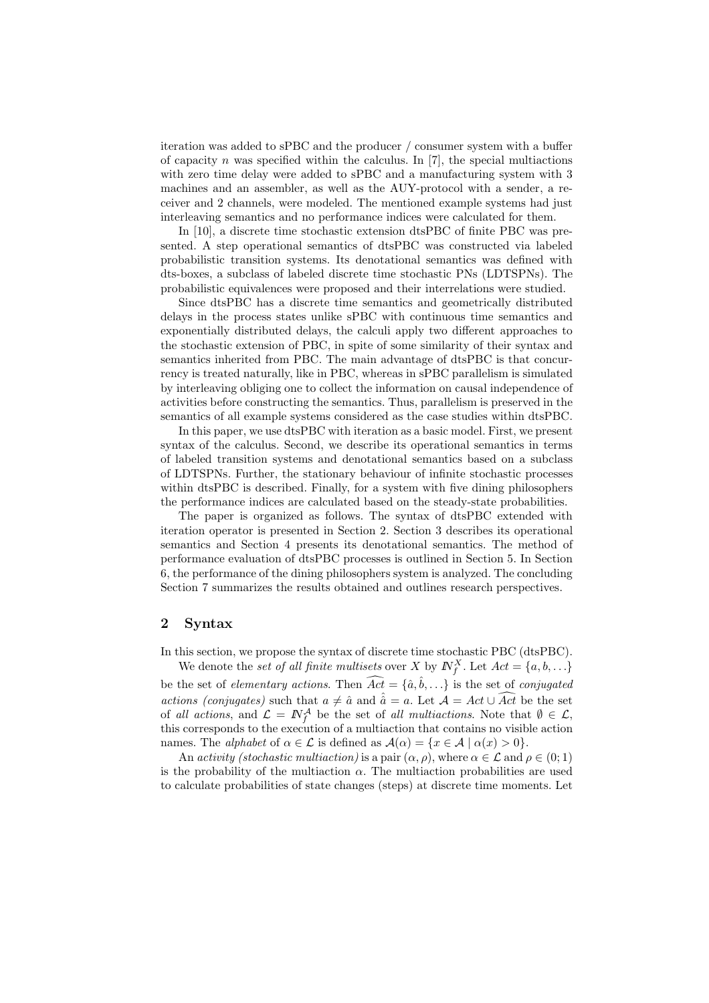iteration was added to sPBC and the producer / consumer system with a buffer of capacity n was specified within the calculus. In  $[7]$ , the special multiactions with zero time delay were added to sPBC and a manufacturing system with 3 machines and an assembler, as well as the AUY-protocol with a sender, a receiver and 2 channels, were modeled. The mentioned example systems had just interleaving semantics and no performance indices were calculated for them.

In [10], a discrete time stochastic extension dtsPBC of finite PBC was presented. A step operational semantics of dtsPBC was constructed via labeled probabilistic transition systems. Its denotational semantics was defined with dts-boxes, a subclass of labeled discrete time stochastic PNs (LDTSPNs). The probabilistic equivalences were proposed and their interrelations were studied.

Since dtsPBC has a discrete time semantics and geometrically distributed delays in the process states unlike sPBC with continuous time semantics and exponentially distributed delays, the calculi apply two different approaches to the stochastic extension of PBC, in spite of some similarity of their syntax and semantics inherited from PBC. The main advantage of dtsPBC is that concurrency is treated naturally, like in PBC, whereas in sPBC parallelism is simulated by interleaving obliging one to collect the information on causal independence of activities before constructing the semantics. Thus, parallelism is preserved in the semantics of all example systems considered as the case studies within dtsPBC.

In this paper, we use dtsPBC with iteration as a basic model. First, we present syntax of the calculus. Second, we describe its operational semantics in terms of labeled transition systems and denotational semantics based on a subclass of LDTSPNs. Further, the stationary behaviour of infinite stochastic processes within dtsPBC is described. Finally, for a system with five dining philosophers the performance indices are calculated based on the steady-state probabilities.

The paper is organized as follows. The syntax of dtsPBC extended with iteration operator is presented in Section 2. Section 3 describes its operational semantics and Section 4 presents its denotational semantics. The method of performance evaluation of dtsPBC processes is outlined in Section 5. In Section 6, the performance of the dining philosophers system is analyzed. The concluding Section 7 summarizes the results obtained and outlines research perspectives.

### 2 Syntax

In this section, we propose the syntax of discrete time stochastic PBC (dtsPBC).

We denote the *set of all finite multisets* over X by  $N_f^X$ . Let  $Act = \{a, b, \ldots\}$ be the set of *elementary actions*. Then  $\widehat{Act} = \{\hat{a}, \hat{b}, \ldots\}$  is the set of *conjugated actions (conjugates)* such that  $a \neq \hat{a}$  and  $\hat{a} = a$ . Let  $\mathcal{A} = Act \cup \widehat{Act}$  be the set of *all actions*, and  $\mathcal{L} = \mathbb{N}_{f}^{\mathcal{A}}$  be the set of *all multiactions*. Note that  $\emptyset \in \mathcal{L}$ , this corresponds to the execution of a multiaction that contains no visible action names. The *alphabet* of  $\alpha \in \mathcal{L}$  is defined as  $\mathcal{A}(\alpha) = \{x \in \mathcal{A} \mid \alpha(x) > 0\}.$ 

An *activity (stochastic multiaction)* is a pair  $(\alpha, \rho)$ , where  $\alpha \in \mathcal{L}$  and  $\rho \in (0, 1)$ is the probability of the multiaction  $\alpha$ . The multiaction probabilities are used to calculate probabilities of state changes (steps) at discrete time moments. Let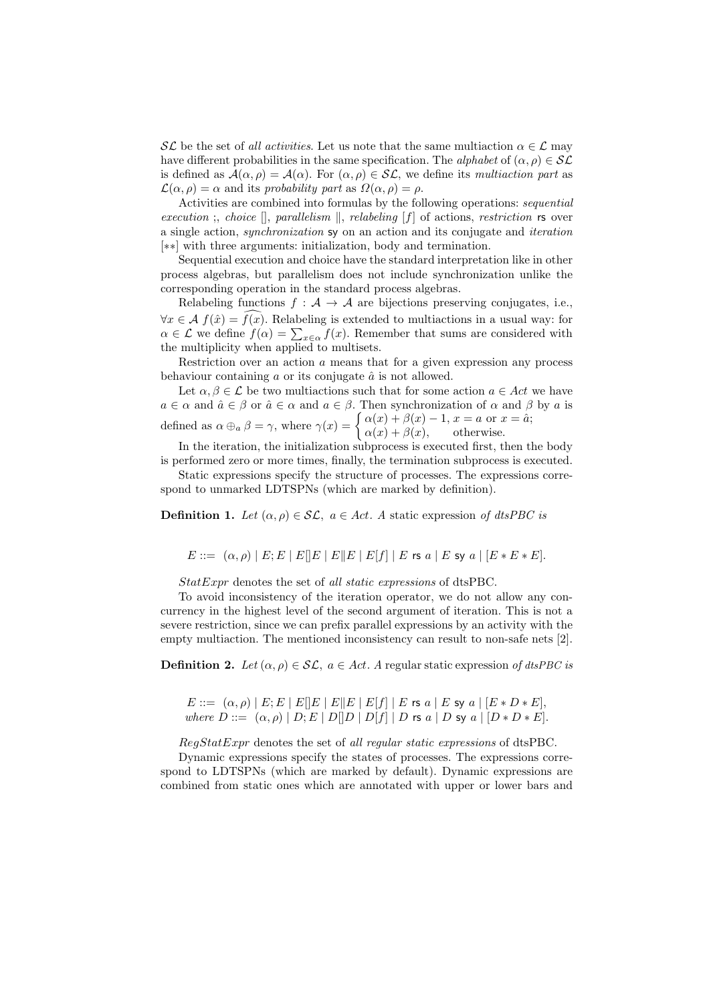SL be the set of *all activities*. Let us note that the same multiaction  $\alpha \in \mathcal{L}$  may have different probabilities in the same specification. The *alphabet* of  $(\alpha, \rho) \in \mathcal{SL}$ is defined as  $\mathcal{A}(\alpha,\rho) = \mathcal{A}(\alpha)$ . For  $(\alpha,\rho) \in \mathcal{SL}$ , we define its *multiaction part* as  $\mathcal{L}(\alpha,\rho) = \alpha$  and its *probability part* as  $\Omega(\alpha,\rho) = \rho$ .

Activities are combined into formulas by the following operations: *sequential execution* ;, *choice*  $\parallel$ , *parallelism*  $\parallel$ , *relabeling* [f] of actions, *restriction* rs over a single action, *synchronization* sy on an action and its conjugate and *iteration* [∗∗] with three arguments: initialization, body and termination.

Sequential execution and choice have the standard interpretation like in other process algebras, but parallelism does not include synchronization unlike the corresponding operation in the standard process algebras.

Relabeling functions  $f : A \to A$  are bijections preserving conjugates, i.e.,  $\forall x \in \mathcal{A}$   $f(\hat{x}) = f(x)$ . Relabeling is extended to multiactions in a usual way: for  $\alpha \in \mathcal{L}$  we define  $f(\alpha) = \sum_{x \in \alpha} f(x)$ . Remember that sums are considered with the multiplicity when applied to multisets.

Restriction over an action  $a$  means that for a given expression any process behaviour containing  $\alpha$  or its conjugate  $\hat{\alpha}$  is not allowed.

Let  $\alpha, \beta \in \mathcal{L}$  be two multiactions such that for some action  $a \in Act$  we have  $a \in \alpha$  and  $\hat{a} \in \beta$  or  $\hat{a} \in \alpha$  and  $a \in \beta$ . Then synchronization of  $\alpha$  and  $\beta$  by  $a$  is defined as  $\alpha \oplus_{\alpha} \beta = \gamma$ , where  $\gamma(x) = \begin{cases} \alpha(x) + \beta(x) - 1, & x = a \text{ or } x = \hat{a}; \\ \alpha(x) + \beta(x) & \text{otherwise.} \end{cases}$  $\alpha(x) + \beta(x)$ , otherwise.

In the iteration, the initialization subprocess is executed first, then the body is performed zero or more times, finally, the termination subprocess is executed.

Static expressions specify the structure of processes. The expressions correspond to unmarked LDTSPNs (which are marked by definition).

**Definition 1.** *Let*  $(\alpha, \rho) \in \mathcal{SL}$ ,  $a \in Act$ . A static expression of dtsPBC is

 $E ::= (\alpha, \rho) | E; E | E | E | E | E | E | E | f | E \text{ is a } | E \text{ sy a } | [E * E * E].$ 

StatExpr denotes the set of *all static expressions* of dtsPBC.

To avoid inconsistency of the iteration operator, we do not allow any concurrency in the highest level of the second argument of iteration. This is not a severe restriction, since we can prefix parallel expressions by an activity with the empty multiaction. The mentioned inconsistency can result to non-safe nets [2].

**Definition 2.** Let  $(\alpha, \rho) \in \mathcal{SL}$ ,  $a \in Act$ . A regular static expression of dtsPBC is

 $E ::= (\alpha, \rho) | E; E | E | E | E | E | E | E | f | | E$  rs  $a | E$  sy  $a | [E * D * E],$ *where*  $D ::= (\alpha, \rho) | D; E | D | D | D | f | D$  *rs a* | D sy a |  $D * D * E$ .

RegStatExpr denotes the set of *all regular static expressions* of dtsPBC.

Dynamic expressions specify the states of processes. The expressions correspond to LDTSPNs (which are marked by default). Dynamic expressions are combined from static ones which are annotated with upper or lower bars and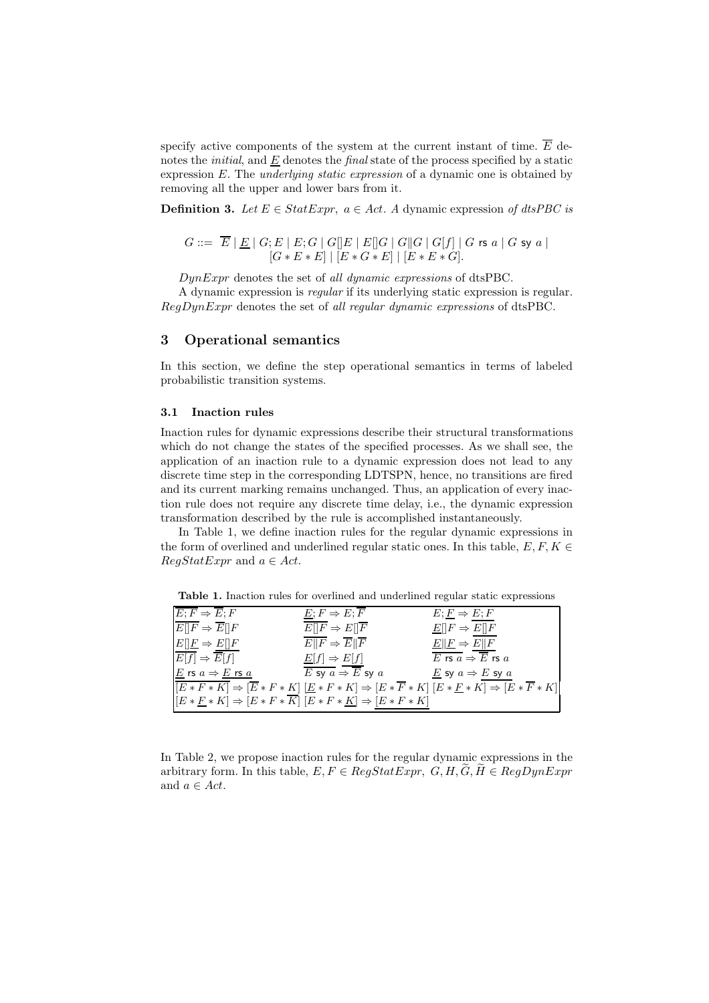specify active components of the system at the current instant of time.  $\overline{E}$  denotes the *initial*, and E denotes the *final* state of the process specified by a static expression E. The *underlying static expression* of a dynamic one is obtained by removing all the upper and lower bars from it.

**Definition 3.** Let  $E \in StatExpr$ ,  $a \in Act$ . A dynamic expression of dtsPBC is

$$
G ::= \overline{E} | \underline{E} | G; E | E; G | G[]E | E[]G | G[]G | G[f] | G \text{ is a } | G \text{ sy a } |
$$
  

$$
[G * E * E] | [E * G * E] | [E * E * G].
$$

DynExpr denotes the set of *all dynamic expressions* of dtsPBC.

A dynamic expression is *regular* if its underlying static expression is regular. RegDynExpr denotes the set of *all regular dynamic expressions* of dtsPBC.

### 3 Operational semantics

In this section, we define the step operational semantics in terms of labeled probabilistic transition systems.

# 3.1 Inaction rules

Inaction rules for dynamic expressions describe their structural transformations which do not change the states of the specified processes. As we shall see, the application of an inaction rule to a dynamic expression does not lead to any discrete time step in the corresponding LDTSPN, hence, no transitions are fired and its current marking remains unchanged. Thus, an application of every inaction rule does not require any discrete time delay, i.e., the dynamic expression transformation described by the rule is accomplished instantaneously.

In Table 1, we define inaction rules for the regular dynamic expressions in the form of overlined and underlined regular static ones. In this table,  $E, F, K \in$  $RegStatExpr$  and  $a \in Act$ .

Table 1. Inaction rules for overlined and underlined regular static expressions

| $E; F \Rightarrow \overline{E}; F$            | $\underline{E}; F \Rightarrow E; \overline{F}$                                       | $E; F \Rightarrow E; F$                                                                                                                                                   |
|-----------------------------------------------|--------------------------------------------------------------------------------------|---------------------------------------------------------------------------------------------------------------------------------------------------------------------------|
| $E  F \Rightarrow E  F$                       | $E  F \Rightarrow E  \overline{F}$                                                   | $\underline{E}[[F \Rightarrow E][F$                                                                                                                                       |
| $E  E \Rightarrow E  F$                       | $E  F \Rightarrow \overline{E}  \overline{F}$                                        | $E  F \Rightarrow E  F$                                                                                                                                                   |
| $\overline{E[f]} \Rightarrow \overline{E}[f]$ | $\underline{E}[f] \Rightarrow E[f]$                                                  | $\overline{E}$ rs $\overline{a} \Rightarrow \overline{\overline{E}}$ rs $\overline{a}$                                                                                    |
| E rs $a \Rightarrow E$ rs $a$                 | $\overline{E}$ sy $a \Rightarrow \overline{E}$ sy $a$                                | $\underline{E}$ sy $a \Rightarrow E$ sy $a$                                                                                                                               |
|                                               |                                                                                      | $\boxed{[E*F*K]} \Rightarrow [\overline{E}*F*K] \; [\underline{E}*F*K] \Rightarrow [E*\overline{F}*K] \; [E*\underline{F}*K] \Rightarrow [E*\overline{F}*K] \label{eq:2}$ |
|                                               | $[E * F * K] \Rightarrow [E * F * \overline{K}] [E * F * K] \Rightarrow [E * F * K]$ |                                                                                                                                                                           |

In Table 2, we propose inaction rules for the regular dynamic expressions in the arbitrary form. In this table,  $E, F \in RegStatexpr$ ,  $G, H, G, H \in RegDynExpr$ and  $a \in Act$ .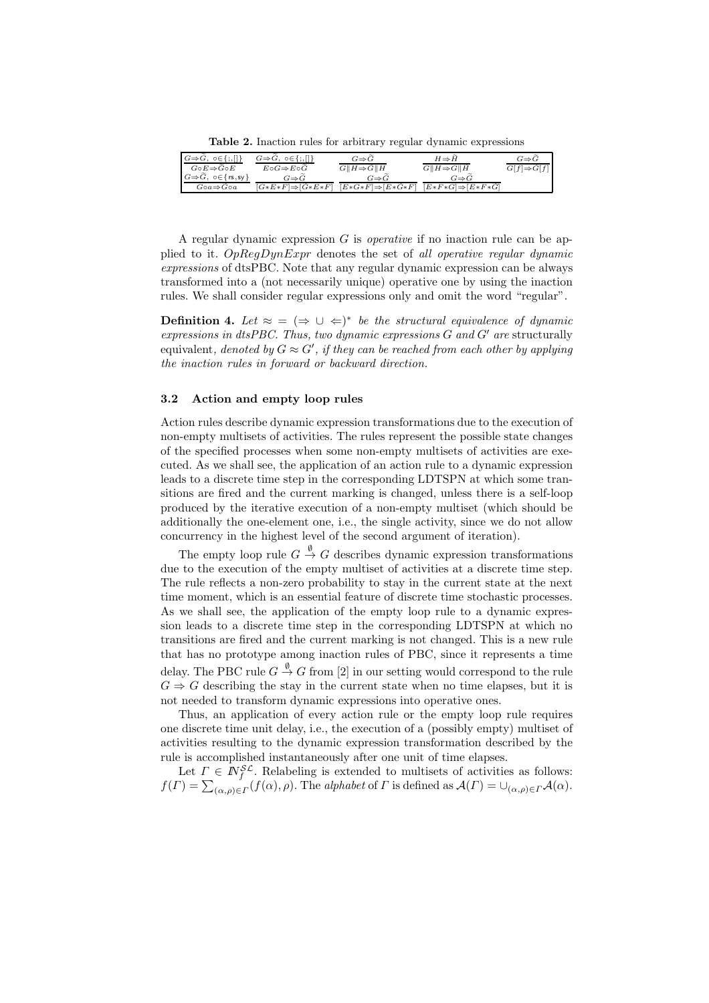Table 2. Inaction rules for arbitrary regular dynamic expressions

| $G \Rightarrow \widetilde{G}, \circ \in \{ ; , [] \}$ | $G \Rightarrow \widehat{G}, \{o \in \{ ;,    \}}$ | $G \Rightarrow G$             | $H \Rightarrow H$             | $G{\Rightarrow} G$            |
|-------------------------------------------------------|---------------------------------------------------|-------------------------------|-------------------------------|-------------------------------|
| $G \circ E \Rightarrow G \circ E$                     | $E\circ G \Rightarrow E\circ G$                   | $G  H \Rightarrow G  H$       | $G  H \Rightarrow G  H$       | $G[f] \Rightarrow \hat{G}[f]$ |
| $G \Rightarrow G, \ o \in \{ rs, sy \}$               | $G \Rightarrow G$                                 | $G{\Rightarrow} G$            | $G \Rightarrow G$             |                               |
| $G \circ a \Rightarrow G \circ a$                     | $[G*E*F] \Rightarrow [G*E*F]$                     | $[E*G*F] \Rightarrow [E*G*F]$ | $[E*F*G] \Rightarrow [E*F*G]$ |                               |

A regular dynamic expression G is *operative* if no inaction rule can be applied to it. OpRegDynExpr denotes the set of *all operative regular dynamic expressions* of dtsPBC. Note that any regular dynamic expression can be always transformed into a (not necessarily unique) operative one by using the inaction rules. We shall consider regular expressions only and omit the word "regular".

**Definition 4.** Let  $\approx$  =  $(\Rightarrow \cup \Leftarrow)^*$  be the structural equivalence of dynamic *expressions in dtsPBC. Thus, two dynamic expressions* G *and* G′ *are* structurally  $\alpha$  equivalent, *denoted by*  $G \approx G'$ , *if they can be reached from each other by applying the inaction rules in forward or backward direction.*

### 3.2 Action and empty loop rules

Action rules describe dynamic expression transformations due to the execution of non-empty multisets of activities. The rules represent the possible state changes of the specified processes when some non-empty multisets of activities are executed. As we shall see, the application of an action rule to a dynamic expression leads to a discrete time step in the corresponding LDTSPN at which some transitions are fired and the current marking is changed, unless there is a self-loop produced by the iterative execution of a non-empty multiset (which should be additionally the one-element one, i.e., the single activity, since we do not allow concurrency in the highest level of the second argument of iteration).

The empty loop rule  $G \stackrel{\emptyset}{\rightarrow} G$  describes dynamic expression transformations due to the execution of the empty multiset of activities at a discrete time step. The rule reflects a non-zero probability to stay in the current state at the next time moment, which is an essential feature of discrete time stochastic processes. As we shall see, the application of the empty loop rule to a dynamic expression leads to a discrete time step in the corresponding LDTSPN at which no transitions are fired and the current marking is not changed. This is a new rule that has no prototype among inaction rules of PBC, since it represents a time delay. The PBC rule  $G\stackrel{\emptyset}{\to}G$  from [2] in our setting would correspond to the rule  $G \Rightarrow G$  describing the stay in the current state when no time elapses, but it is not needed to transform dynamic expressions into operative ones.

Thus, an application of every action rule or the empty loop rule requires one discrete time unit delay, i.e., the execution of a (possibly empty) multiset of activities resulting to the dynamic expression transformation described by the rule is accomplished instantaneously after one unit of time elapses.

Let  $\Gamma \in \mathbb{N}_{f}^{\mathcal{SL}}$ . Relabeling is extended to multisets of activities as follows:  $f(\Gamma) = \sum_{(\alpha,\rho) \in \Gamma} (f(\alpha), \rho)$ . The *alphabet* of  $\Gamma$  is defined as  $\mathcal{A}(\Gamma) = \bigcup_{(\alpha,\rho) \in \Gamma} \mathcal{A}(\alpha)$ .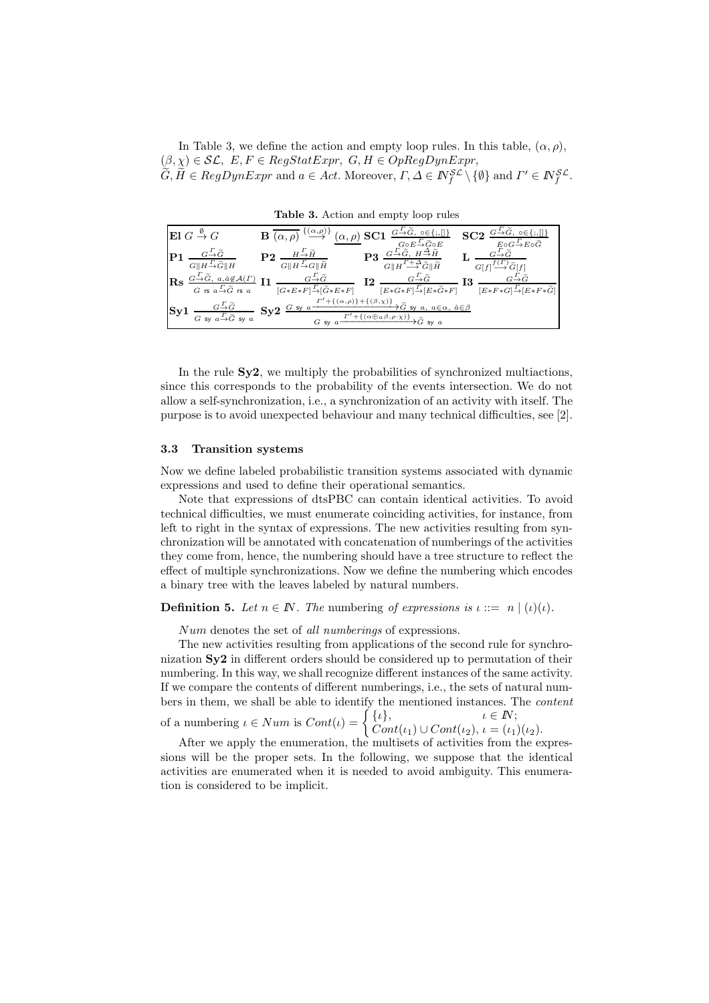In Table 3, we define the action and empty loop rules. In this table,  $(\alpha, \rho)$ ,  $(\beta, \chi) \in \mathcal{SL}, E, F \in RegStatexpr, G, H \in OpRegDynExpr,$  $G, H \in RegDynExpr$  and  $a \in Act$ . Moreover,  $\Gamma, \Delta \in \mathbb{N}_f^{\mathcal{SL}} \setminus \{\emptyset\}$  and  $\Gamma' \in \mathbb{N}_f^{\mathcal{SL}}$ .

El G $^{\emptyset}$  $\overline{\mathbf{B}(\alpha,\rho)}$  $\{(\alpha,\rho)\}\$  $(\alpha, \rho)$  SC1  $\frac{G-\tilde{G}}{G}$  $G\!\circ\! E\!\!\stackrel{\varGamma}{\rightarrow}\!\!\widetilde{G}\!\circ\! E$  $SC2$ .<br>→ E∘G  $P1 G||H \rightarrow \widetilde{G}||H$  $\mathbf{P2} \ \frac{H\frac{\varGamma}{\to}\widetilde{H}}{G\|H\frac{\varGamma}{\to}G\|\widetilde{H}}$  $P3 \xrightarrow{G-\widetilde{G},\ H\overset{\Delta}{\rightarrow}\widetilde{H}} \frac{N^2}{\Gamma^2+\Delta}$  $G||H$  $\stackrel{\Gamma+\Delta}{\longrightarrow} \tilde{G} \parallel \tilde{H}$ L  $G\rightarrow \widetilde{G}$  $G[f]$  $\stackrel{f(\varGamma)}{\longrightarrow} \widetilde{G}[f]$  $\operatorname{Rs} \frac{G-\widetilde{G}, a, \hat{a} \not\in \mathcal{A}(\varGamma)}{\varGamma \; \widetilde{\sim} }$  $G$  rs  $a {\mathop{\to }\limits^r} \widetilde G$  rs  $a$  ${\bf I1} \; {G+\widetilde{G} \over [G*E*F] \stackrel{\Gamma}{\to} [\widetilde{G}*E*F]}$  $\mathbf{I2} \ \frac{G\stackrel{\varGamma}{\rightarrow} \widetilde{G}}{[E*G*F]\stackrel{\varGamma}{\rightarrow} [E*\widetilde{G}*F]}$  ${\bf I3}\;{{G-\widetilde G}\over{[E* F* G] - [E* F*\widetilde G]}}$  $S_{\rm Y}1$  $G$  sy  $a {\mathop{\to }\limits^r} \widetilde G$  sy  $a$  $\mathrm{Sy2}\overset{G\mathrm{~sy}}{=}\mathrm{''}$  $+{ ( \alpha, \rho) }{+{ ( \beta, \chi) } }$  $G$  sy  $a$  $\overline{I' + \{(\alpha \oplus a \beta, \rho \cdot \chi)\}} \widetilde{G}$  sy a

Table 3. Action and empty loop rules

In the rule  $Sy2$ , we multiply the probabilities of synchronized multiactions, since this corresponds to the probability of the events intersection. We do not allow a self-synchronization, i.e., a synchronization of an activity with itself. The purpose is to avoid unexpected behaviour and many technical difficulties, see [2].

#### 3.3 Transition systems

Now we define labeled probabilistic transition systems associated with dynamic expressions and used to define their operational semantics.

Note that expressions of dtsPBC can contain identical activities. To avoid technical difficulties, we must enumerate coinciding activities, for instance, from left to right in the syntax of expressions. The new activities resulting from synchronization will be annotated with concatenation of numberings of the activities they come from, hence, the numbering should have a tree structure to reflect the effect of multiple synchronizations. Now we define the numbering which encodes a binary tree with the leaves labeled by natural numbers.

**Definition 5.** Let  $n \in \mathbb{N}$ . The numbering of expressions is  $\iota ::= n \mid (\iota)(\iota)$ .

Num denotes the set of *all numberings* of expressions.

The new activities resulting from applications of the second rule for synchronization  $S_{\mathbf{V}}2$  in different orders should be considered up to permutation of their numbering. In this way, we shall recognize different instances of the same activity. If we compare the contents of different numberings, i.e., the sets of natural numbers in them, we shall be able to identify the mentioned instances. The *content* of a numbering  $\iota \in Num$  is  $Cont(\iota) = \begin{cases} {\iota} \, {\iota} \, {\iota} \\ Cont(\iota) \, {\iota} \, {\iota} \, {\iota} \, {\iota} \, {\iota} \end{cases}$ 

 $Cont(\iota_1) \cup Cont(\iota_2), \iota = (\iota_1)(\iota_2).$ 

After we apply the enumeration, the multisets of activities from the expressions will be the proper sets. In the following, we suppose that the identical activities are enumerated when it is needed to avoid ambiguity. This enumeration is considered to be implicit.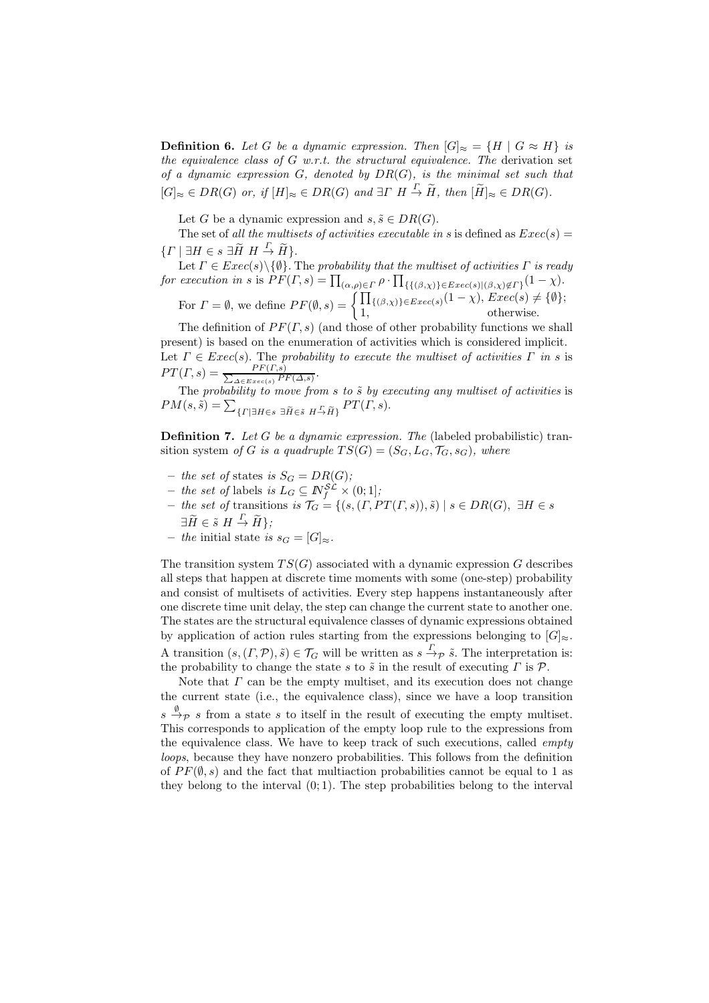**Definition 6.** Let G be a dynamic expression. Then  $[G]_{\approx} = \{H \mid G \approx H\}$  is *the equivalence class of* G *w.r.t. the structural equivalence. The* derivation set *of a dynamic expression* G*, denoted by* DR(G)*, is the minimal set such that*  $[G]_{\approx} \in DR(G)$  *or, if*  $[H]_{\approx} \in DR(G)$  *and*  $\exists \Gamma \ H \xrightarrow{\Gamma} \widetilde{H}$ *, then*  $[\widetilde{H}]_{\approx} \in DR(G)$ *.* 

Let G be a dynamic expression and  $s, \tilde{s} \in DR(G)$ .

The set of *all the multisets of activities executable in* s is defined as  $Exec(s)$  =  $\{ \Gamma \mid \exists H \in s \exists \widetilde{H} \ H \stackrel{\Gamma}{\rightarrow} \widetilde{H} \}.$ 

Let  $\Gamma \in \text{Exec}(s) \setminus \{\emptyset\}$ . The *probability that the multiset of activities*  $\Gamma$  *is ready for execution in* s is  $\overline{PF}(T,s) = \prod_{(\alpha,\rho) \in \Gamma} \rho \cdot \prod_{\{\{(\beta,\chi)\}\in Excel(s)|(\beta,\chi) \notin \Gamma\}} (1-\chi).$ 

For 
$$
\Gamma = \emptyset
$$
, we define  $PF(\emptyset, s) = \begin{cases} \prod_{\{(\beta, \chi)\} \in \text{Exec}(s)} (1 - \chi), \text{Exec}(s) \neq \{\emptyset\}; \\ 1, \text{otherwise.} \end{cases}$ 

The definition of  $PF(\Gamma, s)$  (and those of other probability functions we shall present) is based on the enumeration of activities which is considered implicit. Let  $\Gamma \in \text{Exec}(s)$ . The *probability to execute the multiset of activities*  $\Gamma$  *in* s is  $PT(\Gamma,s) = \frac{PF(\Gamma,s)}{\sum_{r,s} P(r,s)}$  $\frac{PF(I,s)}{\Delta \in E \text{vec}(s)} \frac{PF(\Delta,s)}{PF(\Delta,s)}.$ 

The *probability to move from* s to  $\tilde{s}$  by executing any multiset of activities is  $PM(s, \tilde{s}) = \sum_{\{ \Gamma \mid \exists H \in s \ \exists \tilde{H} \in \tilde{s} \ H \stackrel{\Gamma}{\rightarrow} \tilde{H} \}} PT(\Gamma, s).$ 

Definition 7. *Let* G *be a dynamic expression. The* (labeled probabilistic) transition system *of* G *is a quadruple*  $TS(G) = (S_G, L_G, \mathcal{T}_G, s_G)$ *, where* 

- *the set of* states *is*  $S_G = DR(G)$ ;
- $-$  *the set of* labels *is*  $L_G ⊆ N_f^{\mathcal{SL}} \times (0;1]$ ;
- $-$  *the set of* transitions *is*  $\mathcal{T}_G = \{(s, (\Gamma, PT(\Gamma, s)), \tilde{s}) \mid s \in DR(G), \exists H \in s\}$  $\exists \widetilde{H} \in \widetilde{s} \ H \stackrel{\Gamma}{\to} \widetilde{H} \};$
- *− the* initial state *is*  $s_G = [G]_{\approx}$ *.*

The transition system  $TS(G)$  associated with a dynamic expression G describes all steps that happen at discrete time moments with some (one-step) probability and consist of multisets of activities. Every step happens instantaneously after one discrete time unit delay, the step can change the current state to another one. The states are the structural equivalence classes of dynamic expressions obtained by application of action rules starting from the expressions belonging to  $[G]_{\approx}$ . A transition  $(s, (\Gamma, \mathcal{P}), \tilde{s}) \in \mathcal{T}_G$  will be written as  $s \stackrel{\Gamma}{\rightarrow} \mathcal{P} \tilde{s}$ . The interpretation is: the probability to change the state s to  $\tilde{s}$  in the result of executing  $\Gamma$  is  $\mathcal{P}$ .

Note that  $\Gamma$  can be the empty multiset, and its execution does not change the current state (i.e., the equivalence class), since we have a loop transition  $s \stackrel{\emptyset}{\rightarrow} p$  s from a state s to itself in the result of executing the empty multiset. This corresponds to application of the empty loop rule to the expressions from the equivalence class. We have to keep track of such executions, called *empty loops*, because they have nonzero probabilities. This follows from the definition of  $PF(\emptyset, s)$  and the fact that multiaction probabilities cannot be equal to 1 as they belong to the interval  $(0, 1)$ . The step probabilities belong to the interval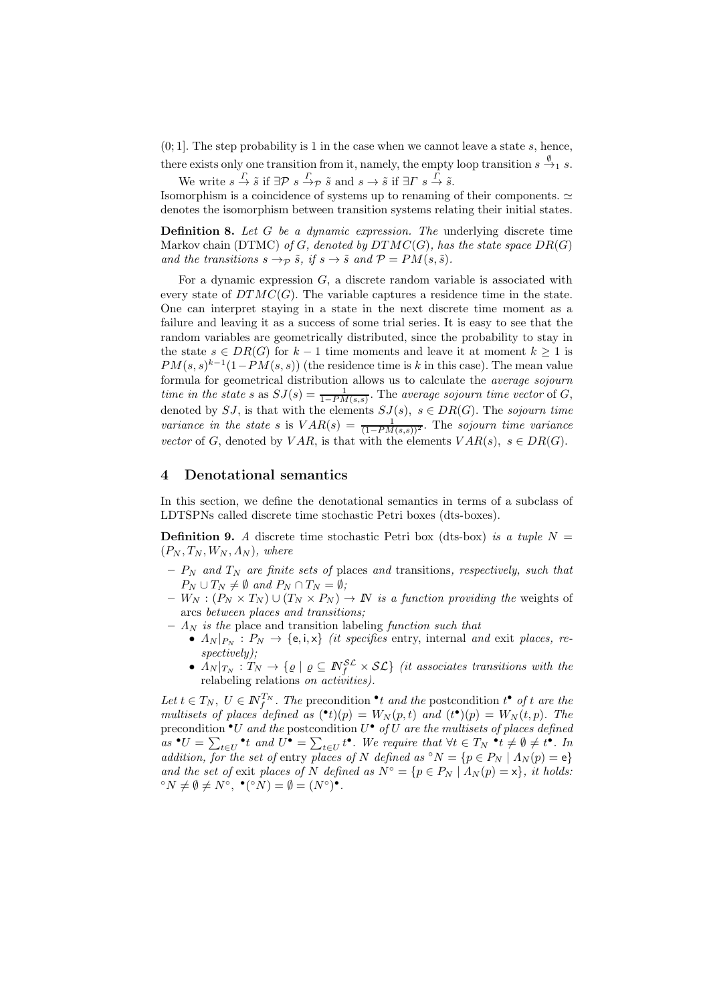$(0, 1]$ . The step probability is 1 in the case when we cannot leave a state s, hence, there exists only one transition from it, namely, the empty loop transition  $s \stackrel{\emptyset}{\to}_1 s$ .

We write  $s \stackrel{\Gamma}{\rightarrow} \tilde{s}$  if  $\exists \mathcal{P} \ s \stackrel{\Gamma}{\rightarrow} \tilde{\rho}$  and  $s \rightarrow \tilde{s}$  if  $\exists \Gamma \ s \stackrel{\Gamma}{\rightarrow} \tilde{s}$ .

Isomorphism is a coincidence of systems up to renaming of their components.  $\simeq$ denotes the isomorphism between transition systems relating their initial states.

Definition 8. *Let* G *be a dynamic expression. The* underlying discrete time Markov chain (DTMC) *of* G, denoted by  $DTMC(G)$ *, has the state space*  $DR(G)$ *and the transitions*  $s \rightarrow_{\mathcal{P}} \tilde{s}$ *, if*  $s \rightarrow \tilde{s}$  *and*  $\mathcal{P} = PM(s, \tilde{s})$ *.* 

For a dynamic expression  $G$ , a discrete random variable is associated with every state of  $DTMC(G)$ . The variable captures a residence time in the state. One can interpret staying in a state in the next discrete time moment as a failure and leaving it as a success of some trial series. It is easy to see that the random variables are geometrically distributed, since the probability to stay in the state  $s \in DR(G)$  for  $k-1$  time moments and leave it at moment  $k \geq 1$  is  $PM(s, s)^{k-1}(1 - PM(s, s))$  (the residence time is k in this case). The mean value formula for geometrical distribution allows us to calculate the *average sojourn time in the state* s as  $SJ(s) = \frac{1}{1 - PM(s,s)}$ . The *average sojourn time vector* of G, denoted by SJ, is that with the elements  $SJ(s)$ ,  $s \in DR(G)$ . The *sojourn time variance in the state* s is  $VAR(s) = \frac{1}{(1 - PM(s,s))^2}$ . The *sojourn time variance vector* of G, denoted by VAR, is that with the elements  $VAR(s), s \in DR(G)$ .

### 4 Denotational semantics

In this section, we define the denotational semantics in terms of a subclass of LDTSPNs called discrete time stochastic Petri boxes (dts-boxes).

**Definition 9.** A discrete time stochastic Petri box (dts-box) *is a tuple*  $N =$  $(P_N, T_N, W_N, \Lambda_N)$ , where

- $-P_N$  *and*  $T_N$  *are finite sets of* places *and* transitions, *respectively, such that*  $P_N \cup T_N \neq \emptyset$  and  $P_N \cap T_N = \emptyset$ ;
- $-W_N : (P_N \times T_N) \cup (T_N \times P_N) \to \mathbb{N}$  *is a function providing the* weights of arcs *between places and transitions;*
- $A_N$  *is the* place and transition labeling *function such that* 
	- $\Lambda_N|_{P_N}$  :  $P_N \to \{e, i, x\}$  *(it specifies entry, internal and exit places, respectively);*
	- $\bar{\Lambda}_N|_{T_N}: T_N \to \{ \varrho \mid \varrho \subseteq \bar{N}_f^{\mathcal{SL}} \times \mathcal{SL} \}$  *(it associates transitions with the* relabeling relations *on activities).*

Let  $t \in T_N$ ,  $U \in \mathbb{N}_{f}^{T_N}$ . The precondition  $\cdot t$  *and the* postcondition  $t^{\bullet}$  *of*  $t$  *are the multisets of places defined as*  $(\bullet t)(p) = W_N(p, t)$  *and*  $(t^{\bullet})(p) = W_N(t, p)$ *. The* precondition •U *and the* postcondition U • *of* U *are the multisets of places defined*  $as \bullet U = \sum_{t \in U} \bullet_t$  and  $U^{\bullet} = \sum_{t \in U} t^{\bullet}$ . We require that  $\forall t \in T_N \bullet_t \neq \emptyset \neq t^{\bullet}$ . In *addition, for the set of entry places of* N *defined as*  $\circ N = \{p \in P_N \mid \Lambda_N(p) = e\}$ *and the set of exit places of* N *defined as*  $N^{\circ} = \{p \in P_N \mid A_N(p) = x\}$ , *it holds:*  ${}^{\circ}N \neq \emptyset \neq N^{\circ}, \; {}^{\bullet}({}^{\circ}N) = \emptyset = (N^{\circ})^{\bullet}.$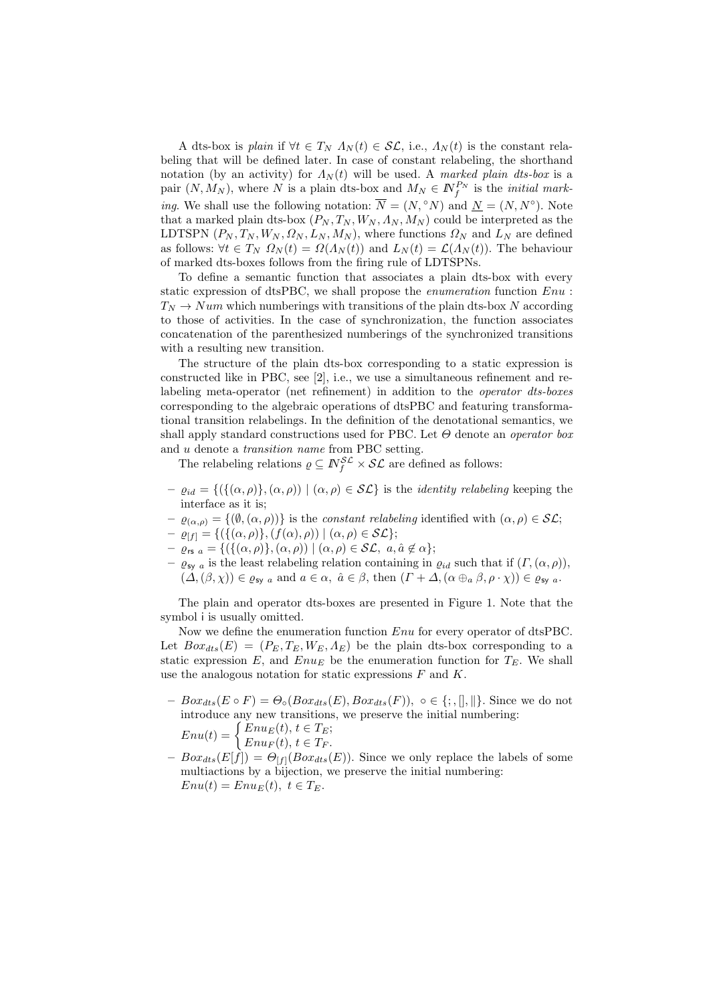A dts-box is *plain* if  $\forall t \in T_N$   $\Lambda_N(t) \in \mathcal{SL}$ , i.e.,  $\Lambda_N(t)$  is the constant relabeling that will be defined later. In case of constant relabeling, the shorthand notation (by an activity) for  $\Lambda_N(t)$  will be used. A *marked plain dts-box* is a pair  $(N, M_N)$ , where N is a plain dts-box and  $M_N \in \mathbb{N}_{f}^{P_N}$  is the *initial marking*. We shall use the following notation:  $\overline{N} = (N, \degree N)$  and  $\underline{N} = (N, N^{\degree})$ . Note that a marked plain dts-box  $(P_N, T_N, W_N, \Lambda_N, M_N)$  could be interpreted as the LDTSPN  $(P_N, T_N, W_N, \Omega_N, L_N, M_N)$ , where functions  $\Omega_N$  and  $L_N$  are defined as follows:  $\forall t \in T_N$   $\Omega_N(t) = \Omega(\Lambda_N(t))$  and  $L_N(t) = \mathcal{L}(\Lambda_N(t))$ . The behaviour of marked dts-boxes follows from the firing rule of LDTSPNs.

To define a semantic function that associates a plain dts-box with every static expression of dtsPBC, we shall propose the *enumeration* function Enu :  $T_N \to Num$  which numberings with transitions of the plain dts-box N according to those of activities. In the case of synchronization, the function associates concatenation of the parenthesized numberings of the synchronized transitions with a resulting new transition.

The structure of the plain dts-box corresponding to a static expression is constructed like in PBC, see [2], i.e., we use a simultaneous refinement and relabeling meta-operator (net refinement) in addition to the *operator dts-boxes* corresponding to the algebraic operations of dtsPBC and featuring transformational transition relabelings. In the definition of the denotational semantics, we shall apply standard constructions used for PBC. Let Θ denote an *operator box* and u denote a *transition name* from PBC setting.

The relabeling relations  $\rho \subseteq \mathbb{N}_f^{\mathcal{SL}} \times \mathcal{SL}$  are defined as follows:

- $-\varrho_{id} = \{(\{(\alpha, \rho)\}, (\alpha, \rho)) \mid (\alpha, \rho) \in \mathcal{SL}\}\$ is the *identity relabeling* keeping the interface as it is;
- $-\varrho_{(\alpha,\rho)} = \{(\emptyset,(\alpha,\rho))\}$  is the *constant relabeling* identified with  $(\alpha,\rho) \in \mathcal{SL}$ ;
- $-\varrho_{[f]} = \{(\{(\alpha,\rho)\},(f(\alpha),\rho)) \mid (\alpha,\rho) \in \mathcal{SL}\};$
- $\varrho_{\text{rs } a} = \{ (\{(\alpha, \rho)\}, (\alpha, \rho)) \mid (\alpha, \rho) \in \mathcal{SL}, \ a, \hat{a} \notin \alpha \};$
- $-\varrho_{\text{sy }a}$  is the least relabeling relation containing in  $\varrho_{id}$  such that if  $(\Gamma,(\alpha,\rho)),$  $(\Delta,(\beta,\chi)) \in \varrho_{sy}$  a and  $a \in \alpha$ ,  $\hat{a} \in \beta$ , then  $(\Gamma + \Delta, (\alpha \oplus_a \beta, \rho \cdot \chi)) \in \varrho_{sy}$  a.

The plain and operator dts-boxes are presented in Figure 1. Note that the symbol i is usually omitted.

Now we define the enumeration function Enu for every operator of dtsPBC. Let  $Box_{dts}(E) = (P_E, T_E, W_E, \Lambda_E)$  be the plain dts-box corresponding to a static expression E, and  $Enu<sub>E</sub>$  be the enumeration function for  $T<sub>E</sub>$ . We shall use the analogous notation for static expressions  $F$  and  $K$ .

- $Box_{dts}(E \circ F) = \Theta_{\circ}(Box_{dts}(E),Box_{dts}(F)), \circ \in \{; , \|, \| \}.$  Since we do not introduce any new transitions, we preserve the initial numbering:  $Enu(t) = \begin{cases} Enu_E(t), t \in T_E; \\ E_{E2}(t), t \in T. \end{cases}$  $Enu<sub>F</sub>(t), t \in T<sub>F</sub>.$
- $-PiSat_{st}(E[f]) = \Theta_{[f]}(Box_{dts}(E)).$  Since we only replace the labels of some multiactions by a bijection, we preserve the initial numbering:  $Enu(t) = Enu_E(t), t \in T_E.$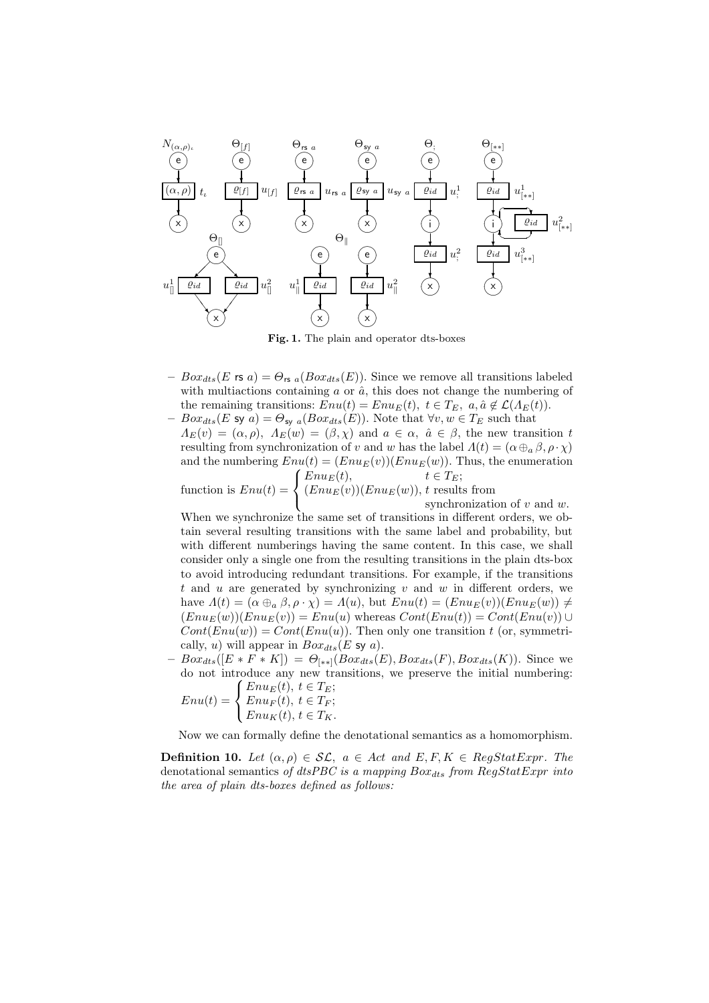

Fig. 1. The plain and operator dts-boxes

- $-Po x_{dts}(E \text{ is a}) = \Theta_{\text{rs } a}(Box_{dts}(E)).$  Since we remove all transitions labeled with multiactions containing  $\alpha$  or  $\hat{a}$ , this does not change the numbering of the remaining transitions:  $Env(t) = Env_E(t), t \in T_E, a, \hat{a} \notin \mathcal{L}(\Lambda_E(t)).$
- $Box_{dts}(E \text{ sy } a) = \Theta_{\text{sy } a}(Box_{dts}(E))$ . Note that  $\forall v, w \in T_E$  such that  $\Lambda_E(v) = (\alpha, \rho), \ \Lambda_E(w) = (\beta, \chi)$  and  $a \in \alpha, \ \hat{a} \in \beta$ , the new transition t resulting from synchronization of v and w has the label  $\Lambda(t) = (\alpha \oplus_{a} \beta, \rho \cdot \chi)$ and the numbering  $Env(t) = (Env<sub>E</sub>(v))(Env<sub>E</sub>(w))$ . Thus, the enumeration  $\sqrt{ }$  $Enu<sub>E</sub>(t), \t t \in T<sub>E</sub>$ ;

function is  $Enu(t) =$  $\mathbf{J}$  $\mathbf{I}$  $(Enu<sub>E</sub>(v))(Enu<sub>E</sub>(w)), t$  results from synchronization of  $v$  and  $w$ .

When we synchronize the same set of transitions in different orders, we obtain several resulting transitions with the same label and probability, but with different numberings having the same content. In this case, we shall consider only a single one from the resulting transitions in the plain dts-box to avoid introducing redundant transitions. For example, if the transitions t and u are generated by synchronizing  $v$  and  $w$  in different orders, we have  $\Lambda(t) = (\alpha \oplus_a \beta, \rho \cdot \chi) = \Lambda(u)$ , but  $Env(t) = (Env_E(v))(Env_E(w)) \neq$  $(Env_E(w))(Env(v)) = Env(u)$  whereas  $Cont(Env(t)) = Cont(Env(v)) \cup$  $Cont(Enu(w)) = Cont(Enu(u))$ . Then only one transition t (or, symmetrically, u) will appear in  $Box_{dts}(E$  sy a).

 $-Box_{dts}([E * F * K]) = \Theta_{[**]}(Box_{dts}(E),Box_{dts}(F),Box_{dts}(K)).$  Since we do not introduce any new transitions, we preserve the initial numbering:<br> $\int E_{BUE}(t) \, t \in T_F$ .

$$
Enu(t) = \begin{cases} Enu_E(t), \ t \in T_E; \\ Enu_F(t), \ t \in T_F; \\ Enu_K(t), \ t \in T_K. \end{cases}
$$

Now we can formally define the denotational semantics as a homomorphism.

**Definition 10.** *Let*  $(\alpha, \rho) \in \mathcal{SL}$ ,  $a \in Act$  *and*  $E, F, K \in RegStatExpr$ . *The* denotational semantics of dtsPBC is a mapping  $Box_{dts}$  from  $RegStatExpr$  into *the area of plain dts-boxes defined as follows:*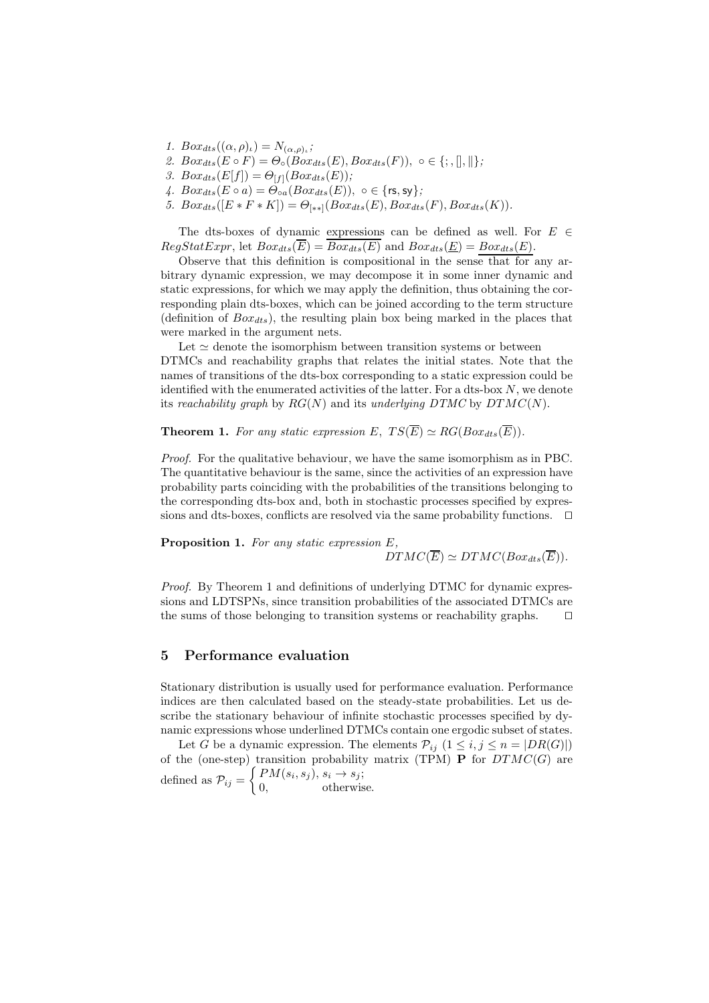- *1.*  $Box_{dts}((\alpha, \rho)_\iota) = N_{(\alpha, \rho)_\iota}$ ;
- 2.  $Box_{dts}(E \circ F) = \Theta_{\circ}(Box_{dts}(E),Box_{dts}(F)), \circ \in \{; , \|, \| \};$
- *3.*  $Box_{dts}(E[f]) = \Theta_{[f]}(Box_{dts}(E));$
- 4.  $Box_{ds}(E \circ a) = \Theta_{oa} (Box_{ds}(E)), o \in \{rs, sy\};\$
- *5.*  $Box_{dts}([E * F * K]) = \Theta_{[**]}(Box_{dts}(E), Box_{dts}(F), Box_{dts}(K)).$

The dts-boxes of dynamic expressions can be defined as well. For  $E \in$  $RegStatexpr$ , let  $Box_{dts}(\overline{E}) = \overline{Box_{dts}(E)}$  and  $Box_{dts}(E) = Box_{dts}(E)$ .

Observe that this definition is compositional in the sense that for any arbitrary dynamic expression, we may decompose it in some inner dynamic and static expressions, for which we may apply the definition, thus obtaining the corresponding plain dts-boxes, which can be joined according to the term structure (definition of  $Box_{dts}$ ), the resulting plain box being marked in the places that were marked in the argument nets.

Let  $\simeq$  denote the isomorphism between transition systems or between DTMCs and reachability graphs that relates the initial states. Note that the names of transitions of the dts-box corresponding to a static expression could be identified with the enumerated activities of the latter. For a dts-box N, we denote its *reachability graph* by  $RG(N)$  and its *underlying DTMC* by  $DTMC(N)$ .

**Theorem 1.** For any static expression E,  $TS(\overline{E}) \simeq RG(Box_{dts}(\overline{E}))$ .

*Proof.* For the qualitative behaviour, we have the same isomorphism as in PBC. The quantitative behaviour is the same, since the activities of an expression have probability parts coinciding with the probabilities of the transitions belonging to the corresponding dts-box and, both in stochastic processes specified by expressions and dts-boxes, conflicts are resolved via the same probability functions. ⊓⊔

Proposition 1. *For any static expression* E*,*  $DTMC(\overline{E}) \simeq DTMC(Box_{dts}(\overline{E})).$ 

*Proof.* By Theorem 1 and definitions of underlying DTMC for dynamic expressions and LDTSPNs, since transition probabilities of the associated DTMCs are the sums of those belonging to transition systems or reachability graphs. ⊓⊔

# 5 Performance evaluation

Stationary distribution is usually used for performance evaluation. Performance indices are then calculated based on the steady-state probabilities. Let us describe the stationary behaviour of infinite stochastic processes specified by dynamic expressions whose underlined DTMCs contain one ergodic subset of states.

Let G be a dynamic expression. The elements  $\mathcal{P}_{ij}$   $(1 \leq i, j \leq n = |DR(G)|)$ of the (one-step) transition probability matrix (TPM) **P** for  $DTMC(G)$  are defined as  $\mathcal{P}_{ij} =$  $\int PM(s_i, s_j), s_i \rightarrow s_j;$ 0, otherwise.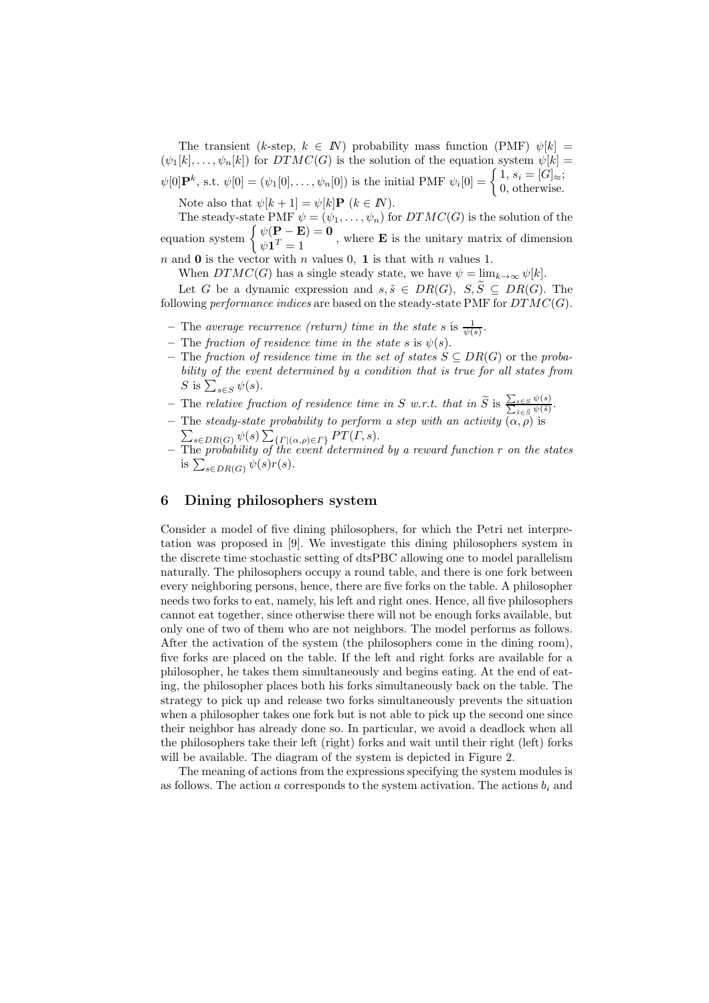The transient (k-step,  $k \in \mathbb{N}$ ) probability mass function (PMF)  $\psi[k] =$  $(\psi_1[k], \ldots, \psi_n[k])$  for  $DTMC(G)$  is the solution of the equation system  $\psi[k] =$  $\psi[0] \mathbf{P}^k$ , s.t.  $\psi[0] = (\psi_1[0], \dots, \psi_n[0])$  is the initial PMF  $\psi_i[0] = \begin{cases} 1, s_i = [G] \approx \\ 0, \text{ otherwise} \end{cases}$ 0, otherwise.

Note also that  $\psi[k+1] = \psi[k]\mathbf{P}$   $(k \in \mathbb{N})$ .

The steady-state PMF  $\psi = (\psi_1, \ldots, \psi_n)$  for  $DTMC(G)$  is the solution of the equation system  $\begin{cases} \psi(\mathbf{P} - \mathbf{E}) = 0 \\ \psi(\mathbf{P} - \mathbf{E}) = 0 \end{cases}$  $\psi(\mathbf{1}^T) = \mathbf{0}$ , where **E** is the unitary matrix of dimension

n and 0 is the vector with n values 0, 1 is that with n values 1.

When  $DTMC(G)$  has a single steady state, we have  $\psi = \lim_{k \to \infty} \psi[k]$ .

Let G be a dynamic expression and  $s, \tilde{s} \in DR(G), S, \tilde{S} \subseteq DR(G)$ . The following *performance indices* are based on the steady-state PMF for DTMC(G).

- The *average recurrence (return) time in the state*  $s$  is  $\frac{1}{\psi(s)}$ .
- The *fraction of residence time in the state* s is  $\psi(s)$ .
- The *fraction of residence time in the set of states* S ⊆ DR(G) or the *probability of the event determined by a condition that is true for all states from* S is  $\sum_{s\in S}\psi(s)$ .
- $-$  The *relative fraction of residence time in* S *w.r.t. that in*  $\widetilde{S}$  is  $\frac{\sum_{s \in S} \psi(s)}{\sum_{\tilde{s} \in \tilde{S}} \psi(\tilde{s})}$ .
- The *steady-state probability to perform a step with an activity*  $(α, ρ)$  is<br>  $\sum_{s \in \text{D}P(G)} \psi(s) \sum_{s \in \text{D}P} F(r, s)$ .  $_{s\in DR(G)}\psi(s)\sum_{\{ \Gamma \mid (\alpha,\rho) \in \Gamma\}}PT(\Gamma,s).$
- The *probability of the event determined by a reward function* r *on the states* is  $\sum_{s \in DR(G)} \psi(s)r(s)$ .

# 6 Dining philosophers system

Consider a model of five dining philosophers, for which the Petri net interpretation was proposed in [9]. We investigate this dining philosophers system in the discrete time stochastic setting of dtsPBC allowing one to model parallelism naturally. The philosophers occupy a round table, and there is one fork between every neighboring persons, hence, there are five forks on the table. A philosopher needs two forks to eat, namely, his left and right ones. Hence, all five philosophers cannot eat together, since otherwise there will not be enough forks available, but only one of two of them who are not neighbors. The model performs as follows. After the activation of the system (the philosophers come in the dining room), five forks are placed on the table. If the left and right forks are available for a philosopher, he takes them simultaneously and begins eating. At the end of eating, the philosopher places both his forks simultaneously back on the table. The strategy to pick up and release two forks simultaneously prevents the situation when a philosopher takes one fork but is not able to pick up the second one since their neighbor has already done so. In particular, we avoid a deadlock when all the philosophers take their left (right) forks and wait until their right (left) forks will be available. The diagram of the system is depicted in Figure 2.

The meaning of actions from the expressions specifying the system modules is as follows. The action a corresponds to the system activation. The actions  $b_i$  and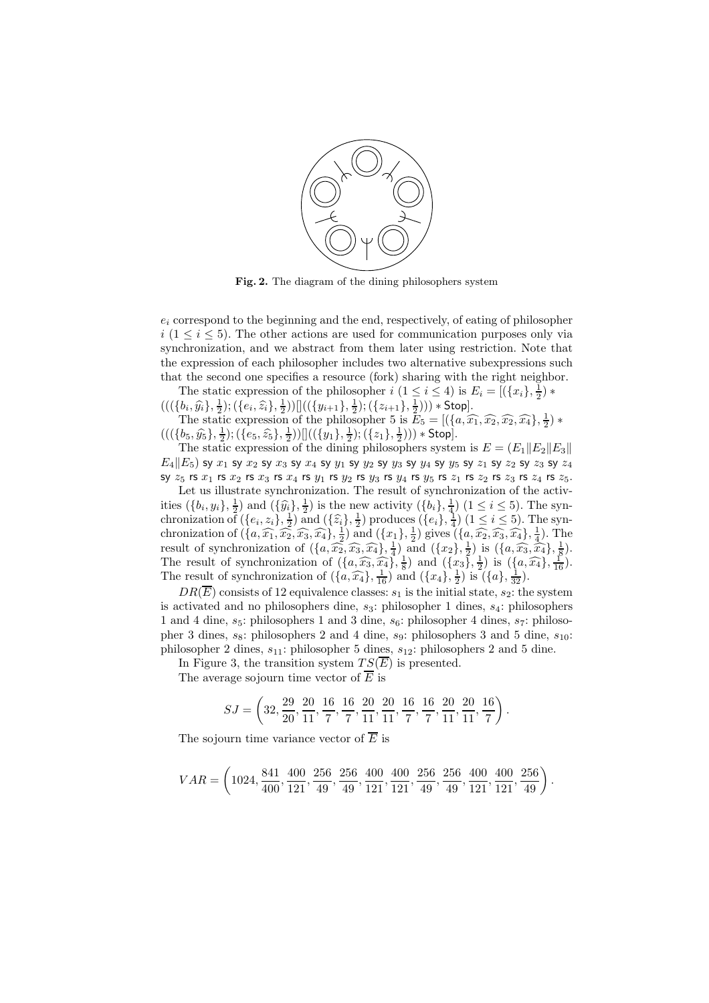

Fig. 2. The diagram of the dining philosophers system

 $e_i$  correspond to the beginning and the end, respectively, of eating of philosopher  $i$  (1  $\le i \le 5$ ). The other actions are used for communication purposes only via synchronization, and we abstract from them later using restriction. Note that the expression of each philosopher includes two alternative subexpressions such that the second one specifies a resource (fork) sharing with the right neighbor.

The static expression of the philosopher  $i$   $(1 \leq i \leq 4)$  is  $E_i = [(\lbrace x_i \rbrace, \frac{1}{2}) *$ The state expression of the philosopher  $\iota$  ( $1 \leq \iota \leq 4$ ) is  $\Sigma_i = [((\iota_i)_i)_2]$ <br>((({ $b_i, \hat{y}_i$ },  $\frac{1}{2}$ ); ({ $e_i, \hat{z}_i$ },  $\frac{1}{2}$ ))]]((({ $y_{i+1}$ },  $\frac{1}{2}$ ); ({ $z_{i+1}$ },  $\frac{1}{2}$ ))) \* Stop].

The static expression of the philosopher 5 is  $\bar{E}_5 = [(\lbrace a, \widehat{x_1}, \widehat{x_2}, \widehat{x_2}, \widehat{x_4} \rbrace, \frac{1}{2}) *$  $(((\{b_5, \hat{y}_5\}, \frac{1}{2}); (\{e_5, \hat{z}_5\}, \frac{1}{2}))]]((\{y_1\}, \frac{1}{2}); (\{z_1\}, \frac{1}{2}))) * Stop].$ 

The static expression of the dining philosophers system is  $E = (E_1||E_2||E_3||$  $E_4||E_5)$  sy  $x_1$  sy  $x_2$  sy  $x_3$  sy  $x_4$  sy  $y_1$  sy  $y_2$  sy  $y_3$  sy  $y_4$  sy  $y_5$  sy  $z_1$  sy  $z_2$  sy  $z_3$  sy  $z_4$ sy  $z_5$  rs  $x_1$  rs  $x_2$  rs  $x_3$  rs  $x_4$  rs  $y_1$  rs  $y_2$  rs  $y_3$  rs  $y_4$  rs  $y_5$  rs  $z_1$  rs  $z_2$  rs  $z_3$  rs  $z_4$  rs  $z_5$ .

Let us illustrate synchronization. The result of synchronization of the activities  $(\{b_i, y_i\}, \frac{1}{2})$  and  $(\{\hat{y}_i\}, \frac{1}{2})$  is the new activity  $(\{b_i\}, \frac{1}{4})$   $(1 \le i \le 5)$ . The synchronization of  $(\{e_i, z_i\}, \frac{1}{2})$  and  $(\{\hat{z}_i\}, \frac{1}{2})$  produces  $(\{e_i\}, \frac{1}{4})$   $(1 \leq i \leq 5)$ . The synchronization of  $(\{a, \widehat{x_1}, \widehat{x_2}, \widehat{x_3}, \widehat{x_4}\}, \frac{1}{2})$  and  $(\{x_1\}, \frac{1}{2})$  gives  $(\{a, \widehat{x_2}, \widehat{x_3}, \widehat{x_4}\}, \frac{1}{4})$ . The result of synchronization of  $(\{a, \overbrace{a_2}, \overbrace{a_3}, \overbrace{a_4}\}, \frac{1}{4})$  and  $(\{x_2\}, \frac{1}{2})$  is  $(\{a, \overbrace{a_3}, \overbrace{a_4}\}, \frac{1}{8})$ . The result of synchronization of  $(\lbrace a, \widehat{x_3}, \widehat{x_4} \rbrace, \frac{1}{8})$  and  $(\lbrace x_3 \rbrace, \frac{1}{2})$  is  $(\lbrace a, \widehat{x_4} \rbrace, \frac{1}{16})$ . The result of synchronization of  $(\lbrace a, \widehat{x_4} \rbrace, \frac{1}{16})$  and  $(\lbrace x_4 \rbrace, \frac{1}{2})$  is  $(\lbrace a \rbrace, \frac{1}{32})$ .

 $DR(\overline{E})$  consists of 12 equivalence classes:  $s_1$  is the initial state,  $s_2$ : the system is activated and no philosophers dine,  $s_3$ : philosopher 1 dines,  $s_4$ : philosophers 1 and 4 dine,  $s_5$ : philosophers 1 and 3 dine,  $s_6$ : philosopher 4 dines,  $s_7$ : philosopher 3 dines,  $s_8$ : philosophers 2 and 4 dine,  $s_9$ : philosophers 3 and 5 dine,  $s_{10}$ : philosopher 2 dines,  $s_{11}$ : philosopher 5 dines,  $s_{12}$ : philosophers 2 and 5 dine.

In Figure 3, the transition system  $TS(\overline{E})$  is presented.

The average sojourn time vector of  $\overline{E}$  is

$$
SJ = \left(32, \frac{29}{20}, \frac{20}{11}, \frac{16}{7}, \frac{16}{7}, \frac{20}{11}, \frac{20}{11}, \frac{16}{7}, \frac{16}{7}, \frac{20}{11}, \frac{20}{11}, \frac{16}{7}\right).
$$

The sojourn time variance vector of  $\overline{E}$  is

$$
VAR=\left(1024,\frac{841}{400},\frac{400}{121},\frac{256}{49},\frac{256}{49},\frac{400}{121},\frac{400}{121},\frac{256}{49},\frac{256}{49},\frac{400}{121},\frac{400}{121},\frac{256}{121}\right).
$$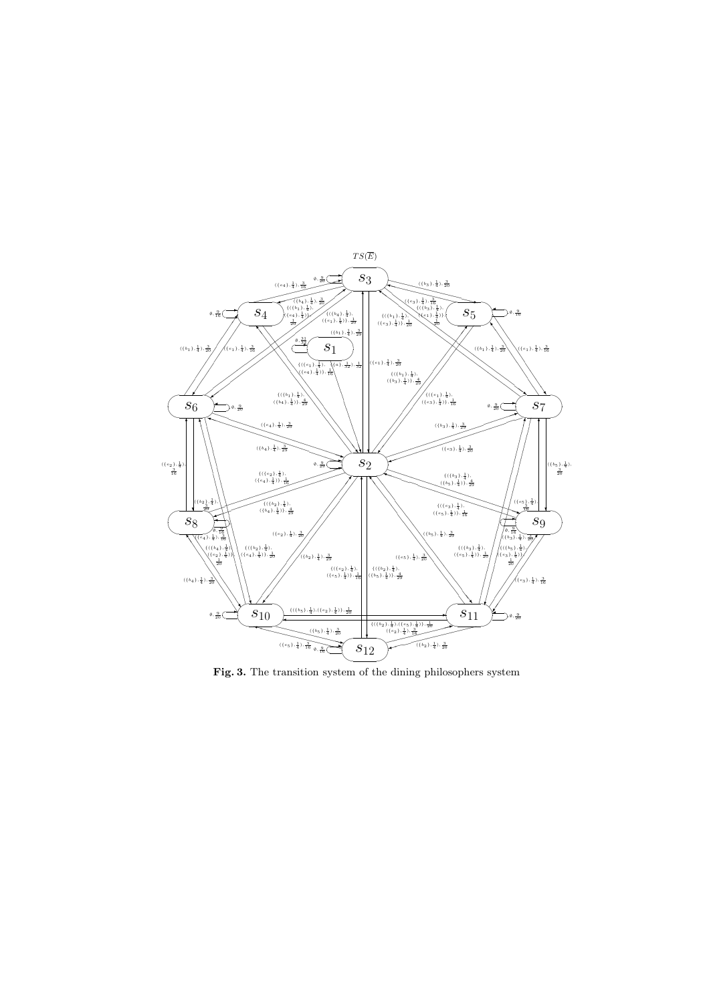

Fig. 3. The transition system of the dining philosophers system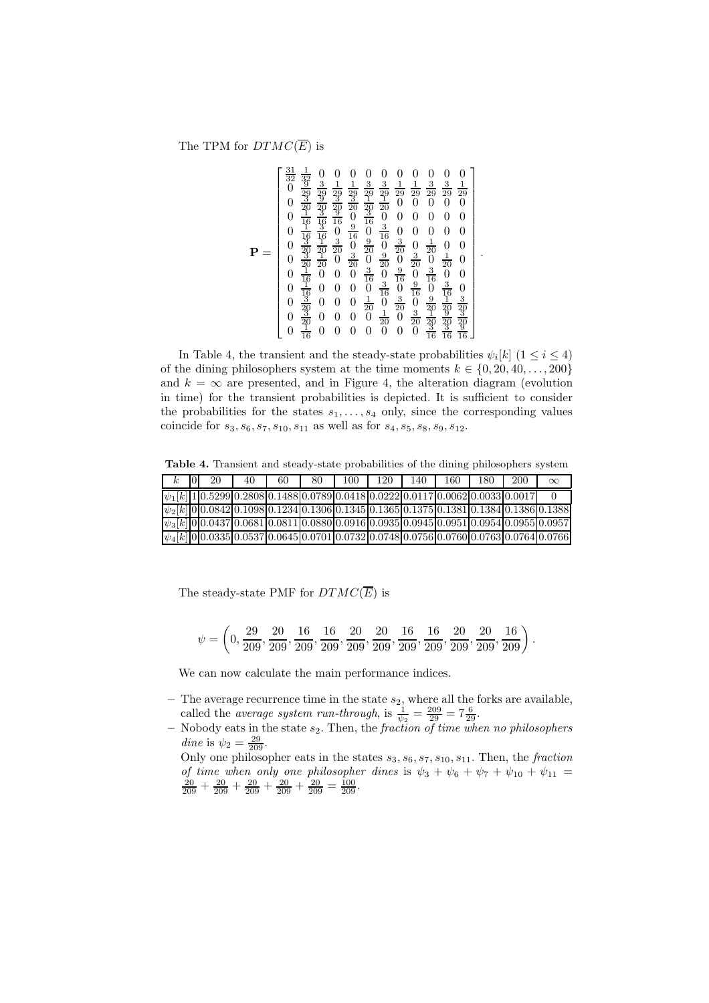The TPM for  $DTMC(\overline{E})$  is

$$
\mathbf{P} = \begin{bmatrix} \frac{31}{32} & \frac{1}{32} & 0 & 0 & 0 & 0 & 0 & 0 & 0 & 0 & 0 & 0\\ 0 & \frac{31}{32} & \frac{3}{32} & \frac{1}{32} & \frac{1}{22} & \frac{3}{22} & \frac{3}{22} & \frac{3}{22} & \frac{1}{222} & \frac{1}{222} & 0\\ 0 & \frac{3}{20} & \frac{3}{22} & \frac{3}{22} & \frac{3}{22} & \frac{1}{222} & \frac{1}{222} & \frac{3}{222} & \frac{3}{222} & 0\\ 0 & \frac{1}{20} & \frac{3}{42} & \frac{3}{42} & \frac{3}{42} & \frac{3}{42} & 0 & 0 & 0 & 0 & 0 & 0\\ 0 & \frac{1}{42} & \frac{3}{42} & 0 & \frac{3}{42} & 0 & \frac{3}{42} & 0 & 0 & 0 & 0 & 0\\ 0 & \frac{3}{42} & \frac{1}{42} & \frac{3}{42} & 0 & \frac{3}{42} & 0 & \frac{3}{42} & 0 & \frac{1}{422} & 0 & 0\\ 0 & \frac{3}{42} & \frac{3}{42} & 0 & \frac{3}{42} & 0 & \frac{3}{42} & 0 & \frac{3}{422} & 0 & 0 & 0\\ 0 & \frac{1}{42} & 0 & 0 & 0 & \frac{3}{42} & 0 & \frac{3}{42} & 0 & \frac{3}{422} & 0 & 0\\ 0 & \frac{1}{42} & 0 & 0 & 0 & 0 & \frac{1}{42} & 0 & \frac{3}{42} & 0 & \frac{1}{422} & 0\\ 0 & \frac{3}{42} & 0 & 0 & 0 & 0 & \frac{1}{22} & 0 & \frac{3}{42} & \frac{3}{422} & \frac{3}{422} & 0\\ 0 & \frac{3}{42} & 0 & 0 & 0 & 0 & 0 & 0 & 0 & 0 & \frac{1}{16} & \frac{3}{16} & \frac{3}{16} \end{bmatrix}
$$

.

In Table 4, the transient and the steady-state probabilities  $\psi_i[k]$  ( $1 \leq i \leq 4$ ) of the dining philosophers system at the time moments  $k \in \{0, 20, 40, \ldots, 200\}$ and  $k = \infty$  are presented, and in Figure 4, the alteration diagram (evolution in time) for the transient probabilities is depicted. It is sufficient to consider the probabilities for the states  $s_1, \ldots, s_4$  only, since the corresponding values coincide for  $s_3$ ,  $s_6$ ,  $s_7$ ,  $s_{10}$ ,  $s_{11}$  as well as for  $s_4$ ,  $s_5$ ,  $s_8$ ,  $s_9$ ,  $s_{12}$ .

Table 4. Transient and steady-state probabilities of the dining philosophers system

|  | 20 | 40 | 60                                                                                    | 80 | 100 | 120 | 140 | 160 | 180 | 200 | $\infty$                                                                                               |
|--|----|----|---------------------------------------------------------------------------------------|----|-----|-----|-----|-----|-----|-----|--------------------------------------------------------------------------------------------------------|
|  |    |    | $ \psi_1[k] 1 0.5299 0.2808 0.1488 0.0789 0.0418 0.0222 0.0117 0.0062 0.0033 0.0017 $ |    |     |     |     |     |     |     |                                                                                                        |
|  |    |    |                                                                                       |    |     |     |     |     |     |     | $\psi_2[k]0 0.0842 0.1098 0.1234 0.1306 0.1345 0.1365 0.1375 0.1381 0.1384 0.1386 0.1388]$             |
|  |    |    |                                                                                       |    |     |     |     |     |     |     | $\psi_3[k]0[0.0437]0.0681[0.0811]0.0880[0.0916]0.0935[0.0945]0.0951[0.0954]0.0955[0.0957]$             |
|  |    |    |                                                                                       |    |     |     |     |     |     |     | $ \psi_4[k] 0 0.0335\overline{0.0537} 0.0645 0.0701 0.0732 0.0748 0.0756 0.0760 0.0763 0.0764 0.0766 $ |

The steady-state PMF for  $DTMC(\overline{E})$  is

| $\psi = \left(0, \frac{29}{209}, \frac{20}{209}, \frac{16}{209}, \frac{16}{209}, \frac{20}{209}, \frac{20}{209}, \frac{16}{209}, \frac{16}{209}, \frac{20}{209}, \frac{20}{209}, \frac{16}{209}\right).$ |  |  |  |  |  |  |  |
|----------------------------------------------------------------------------------------------------------------------------------------------------------------------------------------------------------|--|--|--|--|--|--|--|
|                                                                                                                                                                                                          |  |  |  |  |  |  |  |

We can now calculate the main performance indices.

- The average recurrence time in the state  $s_2$ , where all the forks are available, called the *average system run-through*, is  $\frac{1}{\psi_2} = \frac{209}{29} = 7\frac{6}{29}$ .
- Nobody eats in the state s2. Then, the *fraction of time when no philosophers dine* is  $\psi_2 = \frac{29}{209}$ .
	- Only one philosopher eats in the states  $s_3$ ,  $s_6$ ,  $s_7$ ,  $s_{10}$ ,  $s_{11}$ . Then, the *fraction of time when only one philosopher dines* is  $\psi_3 + \psi_6 + \psi_7 + \psi_{10} + \psi_{11} = \frac{20}{209} + \frac{20}{209} + \frac{20}{209} + \frac{20}{209} + \frac{20}{209}$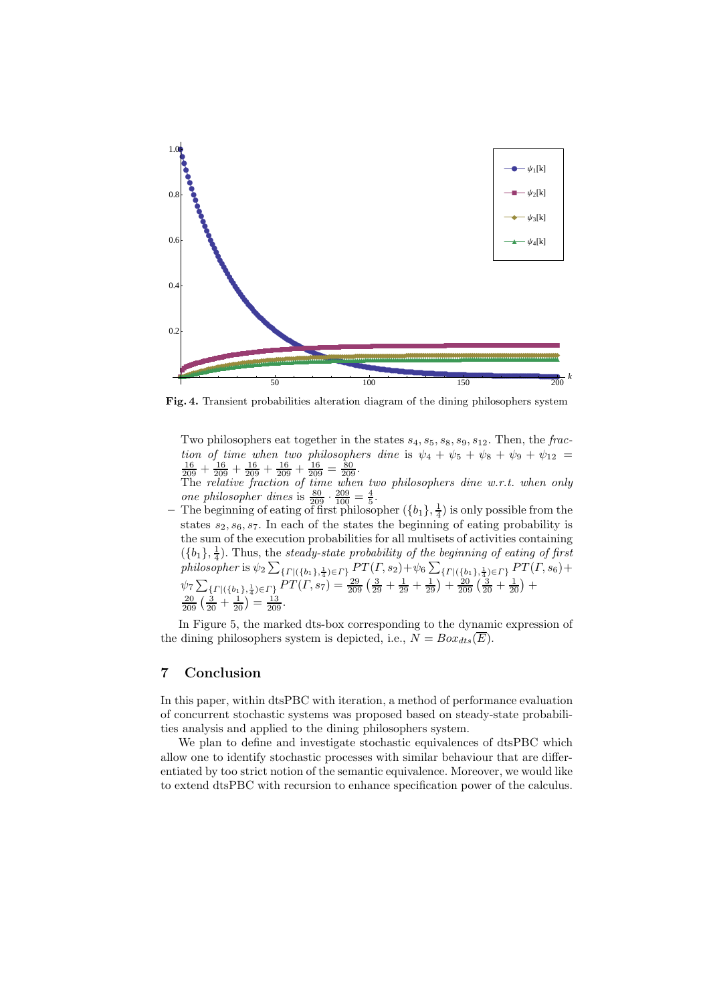

Fig. 4. Transient probabilities alteration diagram of the dining philosophers system

Two philosophers eat together in the states  $s_4$ ,  $s_5$ ,  $s_8$ ,  $s_9$ ,  $s_{12}$ . Then, the *fraction of time when two philosophers dine* is  $\psi_4 + \psi_5 + \psi_8 + \psi_9 + \psi_{12} = \frac{16}{209} + \frac{16}{209} + \frac{16}{209} + \frac{16}{209} = \frac{80}{209}$ .

The *relative fraction of time when two philosophers dine w.r.t. when only one philosopher dines* is  $\frac{80}{209} \cdot \frac{209}{100} = \frac{4}{5}$ .

- The beginning of eating of first philosopher  $(\{b_1\}, \frac{1}{4})$  is only possible from the states  $s_2, s_6, s_7$ . In each of the states the beginning of eating probability is the sum of the execution probabilities for all multisets of activities containing  $(\{b_1\}, \frac{1}{4})$ . Thus, the *steady-state probability of the beginning of eating of first*  ${\it philosopher}$  is  $\psi_2\sum_{\{ \Gamma\mid(\{b_1\},\frac{1}{4})\in\Gamma\}}PT(\Gamma,s_2)+\psi_6\sum_{\{ \Gamma\mid(\{b_1\},\frac{1}{4})\in\Gamma\}}PT(\Gamma,s_6)+$  $\psi_7 \sum_{\{ \Gamma \mid (\{b_1\},\frac{1}{4}) \in \Gamma \}} PT(\Gamma,s_7) = \frac{29}{209} \left( \frac{3}{29} + \frac{1}{29} + \frac{1}{29} \right) + \frac{20}{209} \left( \frac{3}{20} + \frac{1}{20} \right) +$  $\frac{20}{209} \left( \frac{3}{20} + \frac{1}{20} \right) = \frac{13}{209}.$ 

In Figure 5, the marked dts-box corresponding to the dynamic expression of the dining philosophers system is depicted, i.e.,  $N = Box_{dts}(\overline{E})$ .

# 7 Conclusion

In this paper, within dtsPBC with iteration, a method of performance evaluation of concurrent stochastic systems was proposed based on steady-state probabilities analysis and applied to the dining philosophers system.

We plan to define and investigate stochastic equivalences of dtsPBC which allow one to identify stochastic processes with similar behaviour that are differentiated by too strict notion of the semantic equivalence. Moreover, we would like to extend dtsPBC with recursion to enhance specification power of the calculus.